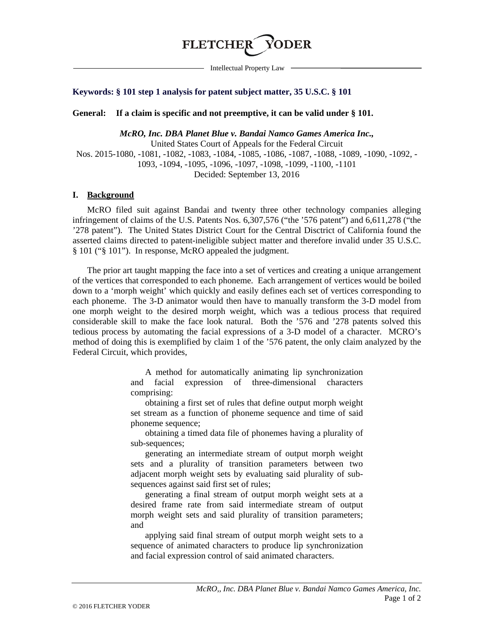# **FLETCHER**

Intellectual Property Law

#### **Keywords: § 101 step 1 analysis for patent subject matter, 35 U.S.C. § 101**

**General: If a claim is specific and not preemptive, it can be valid under § 101.**

*McRO, Inc. DBA Planet Blue v. Bandai Namco Games America Inc.,* United States Court of Appeals for the Federal Circuit Nos. 2015-1080, -1081, -1082, -1083, -1084, -1085, -1086, -1087, -1088, -1089, -1090, -1092, - 1093, -1094, -1095, -1096, -1097, -1098, -1099, -1100, -1101 Decided: September 13, 2016

#### **I. Background**

McRO filed suit against Bandai and twenty three other technology companies alleging infringement of claims of the U.S. Patents Nos. 6,307,576 ("the '576 patent") and 6,611,278 ("the '278 patent"). The United States District Court for the Central Disctrict of California found the asserted claims directed to patent-ineligible subject matter and therefore invalid under 35 U.S.C. § 101 ("§ 101"). In response, McRO appealed the judgment.

The prior art taught mapping the face into a set of vertices and creating a unique arrangement of the vertices that corresponded to each phoneme. Each arrangement of vertices would be boiled down to a 'morph weight' which quickly and easily defines each set of vertices corresponding to each phoneme. The 3-D animator would then have to manually transform the 3-D model from one morph weight to the desired morph weight, which was a tedious process that required considerable skill to make the face look natural. Both the '576 and '278 patents solved this tedious process by automating the facial expressions of a 3-D model of a character. MCRO's method of doing this is exemplified by claim 1 of the '576 patent, the only claim analyzed by the Federal Circuit, which provides,

> A method for automatically animating lip synchronization and facial expression of three-dimensional characters comprising:

> obtaining a first set of rules that define output morph weight set stream as a function of phoneme sequence and time of said phoneme sequence;

> obtaining a timed data file of phonemes having a plurality of sub-sequences;

> generating an intermediate stream of output morph weight sets and a plurality of transition parameters between two adjacent morph weight sets by evaluating said plurality of subsequences against said first set of rules;

> generating a final stream of output morph weight sets at a desired frame rate from said intermediate stream of output morph weight sets and said plurality of transition parameters; and

> applying said final stream of output morph weight sets to a sequence of animated characters to produce lip synchronization and facial expression control of said animated characters.